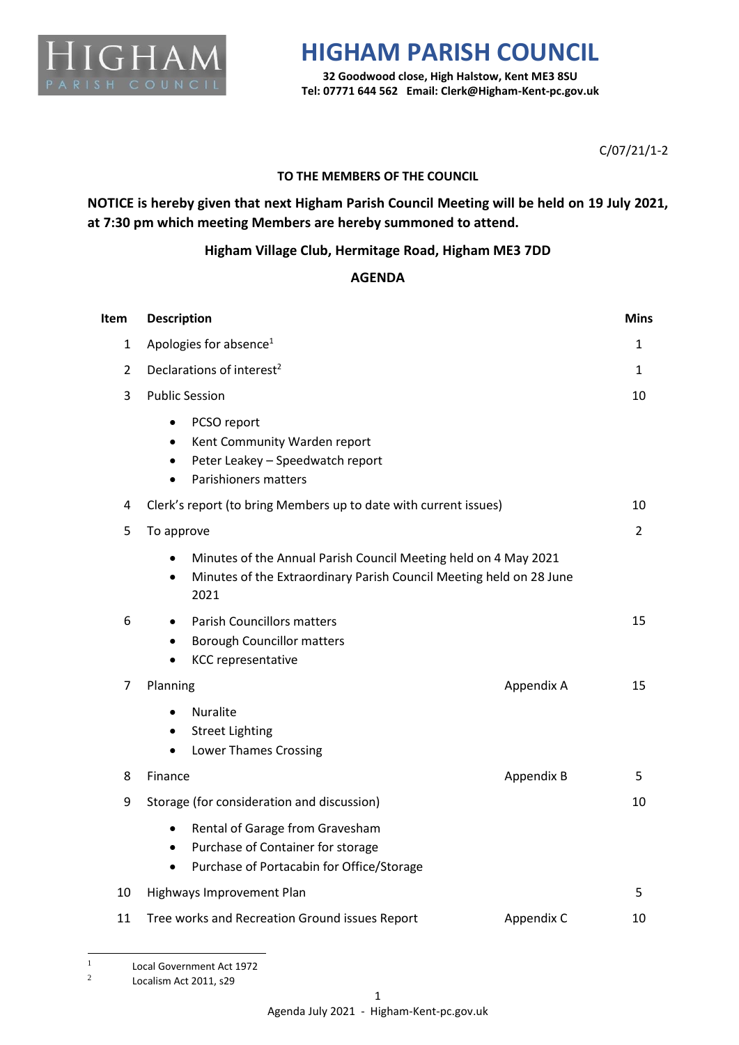

## **HIGHAM PARISH COUNCIL**

**32 Goodwood close, High Halstow, Kent ME3 8SU Tel: 07771 644 562 Email: Clerk@Higham-Kent-pc.gov.uk**

C/07/21/1-2

### **TO THE MEMBERS OF THE COUNCIL**

**NOTICE is hereby given that next Higham Parish Council Meeting will be held on 19 July 2021, at 7:30 pm which meeting Members are hereby summoned to attend.** 

### **Higham Village Club, Hermitage Road, Higham ME3 7DD**

#### **AGENDA**

| Item           | <b>Description</b>                                                                                                                                                       | <b>Mins</b>    |
|----------------|--------------------------------------------------------------------------------------------------------------------------------------------------------------------------|----------------|
| 1              | Apologies for absence <sup>1</sup>                                                                                                                                       | 1              |
| $\overline{2}$ | Declarations of interest <sup>2</sup>                                                                                                                                    | 1              |
| 3              | <b>Public Session</b>                                                                                                                                                    | 10             |
|                | PCSO report<br>$\bullet$<br>Kent Community Warden report<br>$\bullet$<br>Peter Leakey - Speedwatch report<br>$\bullet$<br>Parishioners matters<br>$\bullet$              |                |
| 4              | Clerk's report (to bring Members up to date with current issues)                                                                                                         | 10             |
| 5              | To approve                                                                                                                                                               | $\overline{2}$ |
|                | Minutes of the Annual Parish Council Meeting held on 4 May 2021<br>$\bullet$<br>Minutes of the Extraordinary Parish Council Meeting held on 28 June<br>$\bullet$<br>2021 |                |
| 6              | <b>Parish Councillors matters</b><br>$\bullet$<br><b>Borough Councillor matters</b><br>٠<br><b>KCC</b> representative                                                    | 15             |
| 7              | Appendix A<br>Planning                                                                                                                                                   | 15             |
|                | Nuralite<br>$\bullet$<br><b>Street Lighting</b><br>$\bullet$<br><b>Lower Thames Crossing</b><br>$\bullet$                                                                |                |
| 8              | Finance<br>Appendix B                                                                                                                                                    | 5.             |
| 9              | Storage (for consideration and discussion)                                                                                                                               | 10             |
|                | Rental of Garage from Gravesham<br>$\bullet$<br>Purchase of Container for storage<br>$\bullet$<br>Purchase of Portacabin for Office/Storage<br>$\bullet$                 |                |
| 10             | Highways Improvement Plan                                                                                                                                                | 5              |
| 11             | Tree works and Recreation Ground issues Report<br>Appendix C                                                                                                             | 10             |

<sup>1</sup> Local Government Act 1972

<sup>2</sup> Localism Act 2011, s29